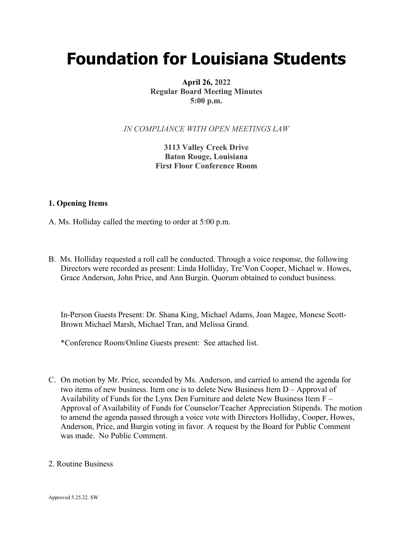# **Foundation for Louisiana Students**

**April 26, 2022 Regular Board Meeting Minutes 5:00 p.m.**

*IN COMPLIANCE WITH OPEN MEETINGS LAW*

**3113 Valley Creek Drive Baton Rouge, Louisiana First Floor Conference Room**

### **1. Opening Items**

- A. Ms. Holliday called the meeting to order at 5:00 p.m.
- B. Ms. Holliday requested a roll call be conducted. Through a voice response, the following Directors were recorded as present: Linda Holliday, Tre'Von Cooper, Michael w. Howes, Grace Anderson, John Price, and Ann Burgin. Quorum obtained to conduct business.

In-Person Guests Present: Dr. Shana King, Michael Adams, Joan Magee, Monese Scott-Brown Michael Marsh, Michael Tran, and Melissa Grand.

\*Conference Room/Online Guests present: See attached list.

- C. On motion by Mr. Price, seconded by Ms. Anderson, and carried to amend the agenda for two items of new business. Item one is to delete New Business Item D – Approval of Availability of Funds for the Lynx Den Furniture and delete New Business Item F – Approval of Availability of Funds for Counselor/Teacher Appreciation Stipends. The motion to amend the agenda passed through a voice vote with Directors Holliday, Cooper, Howes, Anderson, Price, and Burgin voting in favor. A request by the Board for Public Comment was made. No Public Comment.
- 2. Routine Business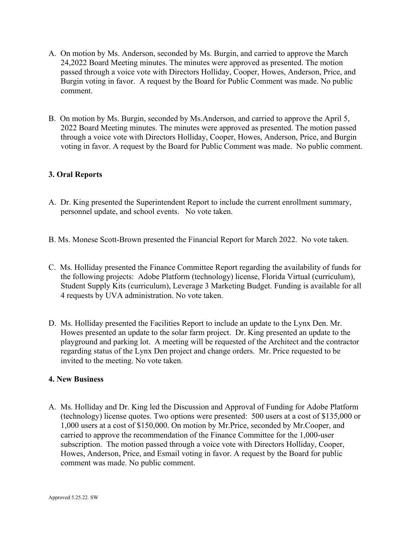- A. On motion by Ms. Anderson, seconded by Ms. Burgin, and carried to approve the March 24,2022 Board Meeting minutes. The minutes were approved as presented. The motion passed through a voice vote with Directors Holliday, Cooper, Howes, Anderson, Price, and Burgin voting in favor. A request by the Board for Public Comment was made. No public comment.
- B. On motion by Ms. Burgin, seconded by Ms.Anderson, and carried to approve the April 5, 2022 Board Meeting minutes. The minutes were approved as presented. The motion passed through a voice vote with Directors Holliday, Cooper, Howes, Anderson, Price, and Burgin voting in favor. A request by the Board for Public Comment was made. No public comment.

# **3. Oral Reports**

- A. Dr. King presented the Superintendent Report to include the current enrollment summary, personnel update, and school events. No vote taken.
- B. Ms. Monese Scott-Brown presented the Financial Report for March 2022. No vote taken.
- C. Ms. Holliday presented the Finance Committee Report regarding the availability of funds for the following projects: Adobe Platform (technology) license, Florida Virtual (curriculum), Student Supply Kits (curriculum), Leverage 3 Marketing Budget. Funding is available for all 4 requests by UVA administration. No vote taken.
- D. Ms. Holliday presented the Facilities Report to include an update to the Lynx Den. Mr. Howes presented an update to the solar farm project. Dr. King presented an update to the playground and parking lot. A meeting will be requested of the Architect and the contractor regarding status of the Lynx Den project and change orders. Mr. Price requested to be invited to the meeting. No vote taken.

#### **4. New Business**

A. Ms. Holliday and Dr. King led the Discussion and Approval of Funding for Adobe Platform (technology) license quotes. Two options were presented: 500 users at a cost of \$135,000 or 1,000 users at a cost of \$150,000. On motion by Mr.Price, seconded by Mr.Cooper, and carried to approve the recommendation of the Finance Committee for the 1,000-user subscription. The motion passed through a voice vote with Directors Holliday, Cooper, Howes, Anderson, Price, and Esmail voting in favor. A request by the Board for public comment was made. No public comment.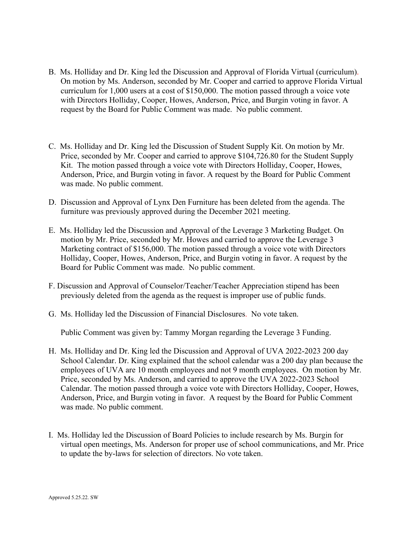- B. Ms. Holliday and Dr. King led the Discussion and Approval of Florida Virtual (curriculum). On motion by Ms. Anderson, seconded by Mr. Cooper and carried to approve Florida Virtual curriculum for 1,000 users at a cost of \$150,000. The motion passed through a voice vote with Directors Holliday, Cooper, Howes, Anderson, Price, and Burgin voting in favor. A request by the Board for Public Comment was made. No public comment.
- C. Ms. Holliday and Dr. King led the Discussion of Student Supply Kit. On motion by Mr. Price, seconded by Mr. Cooper and carried to approve \$104,726.80 for the Student Supply Kit. The motion passed through a voice vote with Directors Holliday, Cooper, Howes, Anderson, Price, and Burgin voting in favor. A request by the Board for Public Comment was made. No public comment.
- D. Discussion and Approval of Lynx Den Furniture has been deleted from the agenda. The furniture was previously approved during the December 2021 meeting.
- E. Ms. Holliday led the Discussion and Approval of the Leverage 3 Marketing Budget. On motion by Mr. Price, seconded by Mr. Howes and carried to approve the Leverage 3 Marketing contract of \$156,000. The motion passed through a voice vote with Directors Holliday, Cooper, Howes, Anderson, Price, and Burgin voting in favor. A request by the Board for Public Comment was made. No public comment.
- F. Discussion and Approval of Counselor/Teacher/Teacher Appreciation stipend has been previously deleted from the agenda as the request is improper use of public funds.
- G. Ms. Holliday led the Discussion of Financial Disclosures. No vote taken.

Public Comment was given by: Tammy Morgan regarding the Leverage 3 Funding.

- H. Ms. Holliday and Dr. King led the Discussion and Approval of UVA 2022-2023 200 day School Calendar. Dr. King explained that the school calendar was a 200 day plan because the employees of UVA are 10 month employees and not 9 month employees. On motion by Mr. Price, seconded by Ms. Anderson, and carried to approve the UVA 2022-2023 School Calendar. The motion passed through a voice vote with Directors Holliday, Cooper, Howes, Anderson, Price, and Burgin voting in favor. A request by the Board for Public Comment was made. No public comment.
- I. Ms. Holliday led the Discussion of Board Policies to include research by Ms. Burgin for virtual open meetings, Ms. Anderson for proper use of school communications, and Mr. Price to update the by-laws for selection of directors. No vote taken.